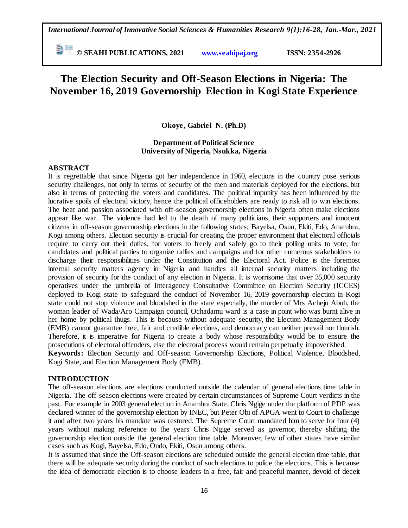**© SEAHI PUBLICATIONS, 2021 [www.seahipaj.org](http://www.seahipaj.org/) ISSN: 2354-2926** 

# **The Election Security and Off-Season Elections in Nigeria: The November 16, 2019 Governorship Election in Kogi State Experience**

**Okoye, Gabriel N. (Ph.D)**

# **Department of Political Science University of Nigeria, Nsukka, Nigeria**

# **ABSTRACT**

It is regrettable that since Nigeria got her independence in 1960, elections in the country pose serious security challenges, not only in terms of security of the men and materials deployed for the elections, but also in terms of protecting the voters and candidates. The political impunity has been influenced by the lucrative spoils of electoral victory, hence the political officeholders are ready to risk all to win elections. The heat and passion associated with off-season governorship elections in Nigeria often make elections appear like war. The violence had led to the death of many politicians, their supporters and innocent citizens in off-season governorship elections in the following states; Bayelsa, Osun, Ekiti, Edo, Anambra, Kogi among others. Election security is crucial for creating the proper environment that electoral officials require to carry out their duties, for voters to freely and safely go to their polling units to vote, for candidates and political parties to organize rallies and campaigns and for other numerous stakeholders to discharge their responsibilities under the Constitution and the Electoral Act. Police is the foremost internal security matters agency in Nigeria and handles all internal security matters including the provision of security for the conduct of any election in Nigeria. It is worrisome that over 35,000 security operatives under the umbrella of Interagency Consultative Committee on Election Security (ICCES) deployed to Kogi state to safeguard the conduct of November 16, 2019 governorship election in Kogi state could not stop violence and bloodshed in the state especially, the murder of Mrs Acheju Abuh, the woman leader of Wada/Aro Campaign council, Ochadamu ward is a case in point who was burnt alive in her home by political thugs. This is because without adequate security, the Election Management Body (EMB) cannot guarantee free, fair and credible elections, and democracy can neither prevail nor flourish. Therefore, it is imperative for Nigeria to create a body whose responsibility would be to ensure the prosecutions of electoral offenders, else the electoral process would remain perpetually impoverished. **Keywords:** Election Security and Off-season Governorship Elections, Political Violence, Bloodshed, Kogi State, and Election Management Body (EMB).

#### **INTRODUCTION**

The off-season elections are elections conducted outside the calendar of general elections time table in Nigeria. The off-season elections were created by certain circumstances of Supreme Court verdicts in the past. For example in 2003 general election in Anambra State, Chris Ngige under the platform of PDP was declared winner of the governorship election by INEC, but Peter Obi of APGA went to Court to challenge it and after two years his mandate was restored. The Supreme Court mandated him to serve for four (4) years without making reference to the years Chris Ngige served as governor, thereby shifting the governorship election outside the general election time table. Moreover, few of other states have similar cases such as Kogi, Bayelsa, Edo, Ondo, Ekiti, Osun among others.

It is assumed that since the Off-season elections are scheduled outside the general election time table, that there will be adequate security during the conduct of such elections to police the elections. This is because the idea of democratic election is to choose leaders in a free, fair and peaceful manner, devoid of deceit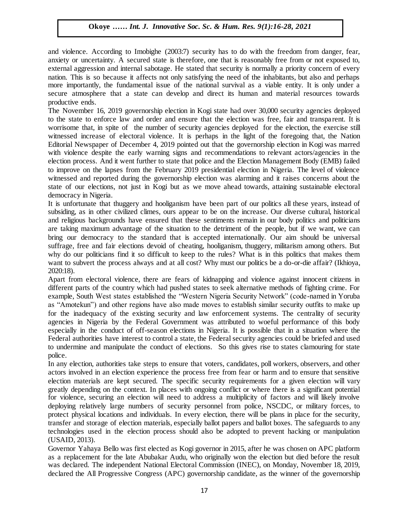and violence. According to Imobighe (2003:7) security has to do with the freedom from danger, fear, anxiety or uncertainty. A secured state is therefore, one that is reasonably free from or not exposed to, external aggression and internal sabotage. He stated that security is normally a priority concern of every nation. This is so because it affects not only satisfying the need of the inhabitants, but also and perhaps more importantly, the fundamental issue of the national survival as a viable entity. It is only under a secure atmosphere that a state can develop and direct its human and material resources towards productive ends.

The November 16, 2019 governorship election in Kogi state had over 30,000 security agencies deployed to the state to enforce law and order and ensure that the election was free, fair and transparent. It is worrisome that, in spite of the number of security agencies deployed for the election, the exercise still witnessed increase of electoral violence. It is perhaps in the light of the foregoing that, the Nation Editorial Newspaper of December 4, 2019 pointed out that the governorship election in Kogi was marred with violence despite the early warning signs and recommendations to relevant actors/agencies in the election process. And it went further to state that police and the Election Management Body (EMB) failed to improve on the lapses from the February 2019 presidential election in Nigeria. The level of violence witnessed and reported during the governorship election was alarming and it raises concerns about the state of our elections, not just in Kogi but as we move ahead towards, attaining sustainable electoral democracy in Nigeria.

It is unfortunate that thuggery and hooliganism have been part of our politics all these years, instead of subsiding, as in other civilized climes, ours appear to be on the increase. Our diverse cultural, historical and religious backgrounds have ensured that these sentiments remain in our body politics and politicians are taking maximum advantage of the situation to the detriment of the people, but if we want, we can bring our democracy to the standard that is accepted internationally. Our aim should be universal suffrage, free and fair elections devoid of cheating, hooliganism, thuggery, militarism among others. But why do our politicians find it so difficult to keep to the rules? What is in this politics that makes them want to subvert the process always and at all cost? Why must our politics be a do-or-die affair? (Ikhioya, 2020:18).

Apart from electoral violence, there are fears of kidnapping and violence against innocent citizens in different parts of the country which had pushed states to seek alternative methods of fighting crime. For example, South West states established the "Western Nigeria Security Network" (code-named in Yoruba as "Amotekun") and other regions have also made moves to establish similar security outfits to make up for the inadequacy of the existing security and law enforcement systems. The centrality of security agencies in Nigeria by the Federal Government was attributed to woeful performance of this body especially in the conduct of off-season elections in Nigeria. It is possible that in a situation where the Federal authorities have interest to control a state, the Federal security agencies could be briefed and used to undermine and manipulate the conduct of elections. So this gives rise to states clamouring for state police.

In any election, authorities take steps to ensure that voters, candidates, poll workers, observers, and other actors involved in an election experience the process free from fear or harm and to ensure that sensitive election materials are kept secured. The specific security requirements for a given election will vary greatly depending on the context. In places with ongoing conflict or where there is a significant potential for violence, securing an election will need to address a multiplicity of factors and will likely involve deploying relatively large numbers of security personnel from police, NSCDC, or military forces, to protect physical locations and individuals. In every election, there will be plans in place for the security, transfer and storage of election materials, especially ballot papers and ballot boxes. The safeguards to any technologies used in the election process should also be adopted to prevent hacking or manipulation (USAID, 2013).

Governor Yahaya Bello was first elected as Kogi governor in 2015, after he was chosen on APC platform as a replacement for the late Abubakar Audu, who originally won the election but died before the result was declared. The independent National Electoral Commission (INEC), on Monday, November 18, 2019, declared the All Progressive Congress (APC) governorship candidate, as the winner of the governorship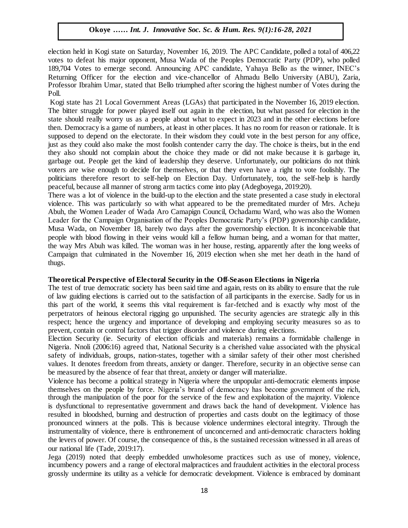election held in Kogi state on Saturday, November 16, 2019. The APC Candidate, polled a total of 406,22 votes to defeat his major opponent, Musa Wada of the Peoples Democratic Party (PDP), who polled 199704 M 189,704 Votes to emerge second. Announcing APC candidate, Yahaya Bello as the winner, INEC's Returning Officer for the election and vice-chancellor of Ahmadu Bello University (ABU), Zaria, Professor Ibrahim Umar, stated that Bello triumphed after scoring the highest number of Votes during the Poll.

roll.<br>Kogi state has 21 Local Government Areas (LGAs) that participated in the November 16, 2019 election. The bitter struggle for power played itself out again in the election, but what passed for election in the state should really worry us as a people about what to expect in 2023 and in the other elections before then. Democracy is a game of numbers, at least in other places. It has no room for reason or rationale. It is supposed to depend on the electorate. In their wisdom they could vote in the best person for any office, just as they could also make the most foolish contender carry the day. The choice is theirs, but in the end they also should not complain about the choice they made or did not make because it is garbage in, garbage out. People get the kind of leadership they deserve. Unfortunately, our politicians do not think gardage out. I copic get the kind of leadership they deserve. Omordinately, our politicians do not think<br>voters are wise enough to decide for themselves, or that they even have a right to vote foolishly. The politicians therefore resort to self-help on Election Day. Unfortunately, too, the self-help is hardly peaceful, because all manner of strong arm tactics come into play (Adegboyega, 2019:20).

There was a lot of violence in the build-up to the election and the state presented a case study in electoral violence. This was particularly so with what appeared to be the premeditated murder of Mrs. Acheju Abuh, the Women Leader of Wada Aro Camapign Council, Ochadamu Ward, who was also the Women Leader for the Campaign Organisation of the Peoples Democratic Party's (PDP) governorship candidate, Musa Wada, on November 18, barely two days after the governorship election. It is inconceivable that people with blood flowing in their veins would kill a fellow human being, and a woman for that matter, the way Mrs Abuh was killed. The woman was in her house, resting, apparently after the long weeks of Campaign that culminated in the November 16, 2019 election when she met her death in the hand of thugs. Arugu & Wosu…… Int. J. Innovative Soc. Sc. & Hum. Res. 8(1):1-11, 2020

#### **Theoretical Perspective of Electoral Security in the Off-Season Elections in Nigeria**

The test of true democratic society has been said time and again, rests on its ability to ensure that the rule of law guiding elections is carried out to the satisfaction of all participants in the exercise. Sadly for us in this part of the world, it seems this vital requirement is far-fetched and is exactly why most of the perpetrators of heinous electoral rigging go unpunished. The security agencies are strategic ally in this respect; hence the urgency and importance of developing and employing security measures so as to prevent, contain or control factors that trigger disorder and violence during elections.

Election Security (ie. Security of election officials and materials) remains a formidable challenge in Nigeria. Nnoli (2006:16) agreed that, National Security is a cherished value associated with the physical safety of individuals, groups, nation-states, together with a similar safety of their other most cherished values. It denotes freedom from threats, anxiety or danger. Therefore, security in an objective sense can be measured by the absence of fear that threat, anxiety or danger will materialize.

Violence has become a political strategy in Nigeria where the unpopular anti-democratic elements impose themselves on the people by force. Nigeria's brand of democracy has become government of the rich, through the manipulation of the poor for the service of the few and exploitation of the majority. Violence is dysfunctional to representative government and draws back the hand of development. Violence has resulted in bloodshed, burning and destruction of properties and casts doubt on the legitimacy of those pronounced winners at the polls. This is because violence undermines electoral integrity. Through the instrumentality of violence, there is enthronement of unconcerned and anti-democratic characters holding the levers of power. Of course, the consequence of this, is the sustained recession witnessed in all areas of our national life (Tade, 2019:17).

Jega (2019) noted that deeply embedded unwholesome practices such as use of money, violence, incumbency powers and a range of electoral malpractices and fraudulent activities in the electoral process grossly undermine its utility as a vehicle for democratic development. Violence is embraced by dominant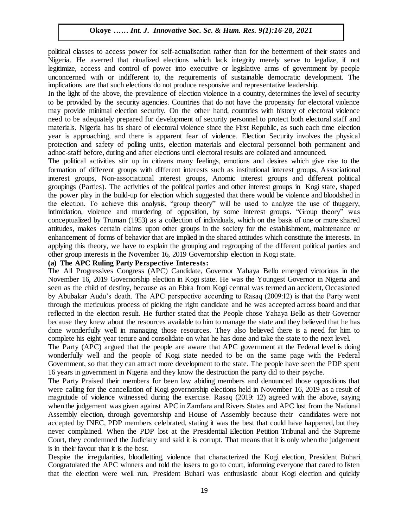political classes to access power for self-actualisation rather than for the betterment of their states and Nigeria. He averred that ritualized elections which lack integrity merely serve to legalize, if not legitimize, access and control of power into executive or legislative arms of government by people legitimize, access and control of power into executive or legislative arms of government by people unconcerned with or indifferent to, the requirements of sustainable democratic development. The implications are that such elections do not produce responsive and representative leadership.

In the light of the above, the prevalence of election violence in a country, determines the level of security In the light of the doove, the prevalence of election violence in a country, determines the level of security<br>to be provided by the security agencies. Countries that do not have the propensity for electoral violence may provide minimal election security. On the other hand, countries with history of electoral violence need to be adequately prepared for development of security personnel to protect both electoral staff and materials. Nigeria has its share of electoral violence since the First Republic, as such each time election materials. Higeria has as share or electorial violence since the First Repaisit, as such each time election.<br>year is approaching, and there is apparent fear of violence. Election Security involves the physical protection and safety of polling units, election materials and electoral personnel both permanent and adhoc-staff before, during and after elections until electoral results are collated and announced.

The political activities stir up in citizens many feelings, emotions and desires which give rise to the formation of different groups with different interests such as institutional interest groups, Associational interest groups, Non-associational interest groups, Anomic interest groups and different political groupings (Parties). The activities of the political parties and other interest groups in Kogi state, shaped the power play in the build-up for election which suggested that there would be violence and bloodshed in the election. To achieve this analysis, "group theory" will be used to analyze the use of thuggery, intimidation, violence and murdering of opposition, by some interest groups. "Group theory" was conceptualized by Truman (1953) as a collection of individuals, which on the basis of one or more shared attitudes, makes certain claims upon other groups in the society for the establishment, maintenance or enhancement of forms of behavior that are implied in the shared attitudes which constitute the interests. In applying this theory, we have to explain the grouping and regrouping of the different political parties and other group interests in the November 16, 2019 Governorship election in Kogi state.

#### **(a) The APC Ruling Party Perspective Interests:**

(a) The All Progressives Congress (APC) Candidate, Governor Yahaya Bello emerged victorious in the November 16, 2019 Governorship election in Kogi state. He was the Youngest Governor in Nigeria and seen as the child of destiny, because as an Ebira from Kogi central was termed an accident, Occasioned by Abubakar Audu's death. The APC perspective according to Rasaq (2009:12) is that the Party went through the meticulous process of picking the right candidate and he was accepted across board and that reflected in the election result. He further stated that the People chose Yahaya Bello as their Governor because they knew about the resources available to him to manage the state and they believed that he has done wonderfully well in managing those resources. They also believed there is a need for him to complete his eight year tenure and consolidate on what he has done and take the state to the next level.

The Party (APC) argued that the people are aware that APC government at the Federal level is doing wonderfully well and the people of Kogi state needed to be on the same page with the Federal Government, so that they can attract more development to the state. The people have seen the PDP spent 16 years in government in Nigeria and they know the destruction the party did to their psyche.

The Party Praised their members for been law abiding members and denounced those oppositions that were calling for the cancellation of Kogi governorship elections held in November 16, 2019 as a result of magnitude of violence witnessed during the exercise. Rasaq (2019: 12) agreed with the above, saying when the judgement was given against APC in Zamfara and Rivers States and APC lost from the National Assembly election, through governorship and House of Assembly because their candidates were not accepted by INEC, PDP members celebrated, stating it was the best that could have happened, but they never complained. When the PDP lost at the Presidential Election Petition Tribunal and the Supreme Court, they condemned the Judiciary and said it is corrupt. That means that it is only when the judgement is in their favour that it is the best.

Despite the irregularities, bloodletting, violence that characterized the Kogi election, President Buhari Congratulated the APC winners and told the losers to go to court, informing everyone that cared to listen that the election were well run. President Buhari was enthusiastic about Kogi election and quickly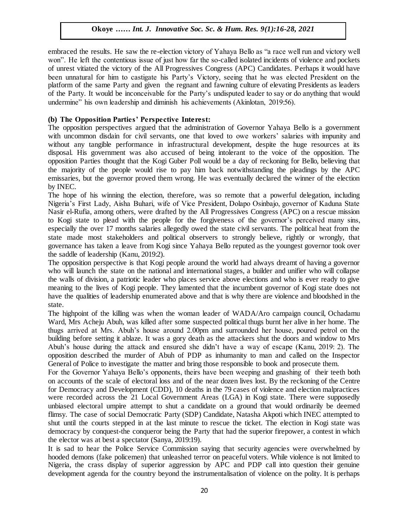embraced the results. He saw the re-election victory of Yahaya Bello as "a race well run and victory well won". He left the contentious issue of just how far the so-called isolated incidents of violence and pockets  $\sim$ of unrest vitiated the victory of the All Progressives Congress (APC) Candidates. Perhaps it would have been unnatural for him to castigate his Party's Victory, seeing that he was elected President on the platform of the same Party and given the regnant and fawning culture of elevating Presidents as leaders of the Party. It would be inconceivable for the Party's undisputed leader to say or do anything that would undermine" his own leadership and diminish his achievements (Akinlotan, 2019:56).

#### **(b) The Opposition Parties' Perspective Interest:**

The opposition perspectives argued that the administration of Governor Yahaya Bello is a government with uncommon disdain for civil servants, one that loved to owe workers' salaries with impunity and without any tangible performance in infrastructural development, despite the huge resources at its disposal. His government was also accused of being intolerant to the voice of the opposition. The opposition Parties thought that the Kogi Guber Poll would be a day of reckoning for Bello, believing that opposition ratties thought that the Rogi Guber F of would be a day of reckoning for Bello, believing that the majority of the people would rise to pay him back notwithstanding the pleadings by the APC emissaries, but the governor proved them wrong. He was eventually declared the winner of the election by INEC.

The hope of his winning the election, therefore, was so remote that a powerful delegation, including The hope of his winning the electron, therefore, was so remote that a powerful delegation, including<br>Nigeria's First Lady, Aisha Buhari, wife of Vice President, Dolapo Osinbajo, governor of Kaduna State Nasir el-Rufia, among others, were drafted by the All Progressives Congress (APC) on a rescue mission to Kogi state to plead with the people for the forgiveness of the governor's perceived many sins, especially the over 17 months salaries allegedly owed the state civil servants. The political heat from the espectany the over 17 months state and political observers to strongly believe, rightly or wrongly, that state made most stakeholders and political observers to strongly believe, rightly or wrongly, that governance has taken a leave from Kogi since Yahaya Bello reputed as the youngest governor took over the saddle of leadership (Kanu, 2019:2).

The opposition perspective is that Kogi people around the world had always dreamt of having a governor The opposition perspective is that Rogi people around the world had always dreamt of having a governor who will launch the state on the national and international stages, a builder and unifier who will collapse the walls of division, a patriotic leader who places service above elections and who is ever ready to give meaning to the lives of Kogi people. They lamented that the incumbent governor of Kogi state does not have the qualities of leadership enumerated above and that is why there are violence and bloodshed in the state.

The highpoint of the killing was when the woman leader of WADA/Aro campaign council, Ochadamu Ward, Mrs Acheju Abuh, was killed after some suspected political thugs burnt her alive in her home. The thugs arrived at Mrs. Abuh's house around 2.00pm and surrounded her house, poured petrol on the building before setting it ablaze. It was a gory death as the attackers shut the doors and window to Mrs Abuh's house during the attack and ensured she didn't have a way of escape (Kanu, 2019: 2). The opposition described the murder of Abuh of PDP as inhumanity to man and called on the Inspector General of Police to investigate the matter and bring those responsible to book and prosecute them.

For the Governor Yahaya Bello's opponents, theirs have been weeping and gnashing of their teeth both on accounts of the scale of electoral loss and of the near dozen lives lost. By the reckoning of the Centre for Democracy and Development (CDD), 10 deaths in the 79 cases of violence and election malpractices were recorded across the 21 Local Government Areas (LGA) in Kogi state. There were supposedly unbiased electoral umpire attempt to shut a candidate on a ground that would ordinarily be deemed flimsy. The case of social Democratic Party (SDP) Candidate, Natasha Akpoti which INEC attempted to shut until the courts stepped in at the last minute to rescue the ticket. The election in Kogi state was democracy by conquest-the conqueror being the Party that had the superior firepower, a contest in which the elector was at best a spectator (Sanya, 2019:19).

It is sad to hear the Police Service Commission saying that security agencies were overwhelmed by hooded demons (fake policemen) that unleashed terror on peaceful voters. While violence is not limited to Nigeria, the crass display of superior aggression by APC and PDP call into question their genuine development agenda for the country beyond the instrumentalisation of violence on the polity. It is perhaps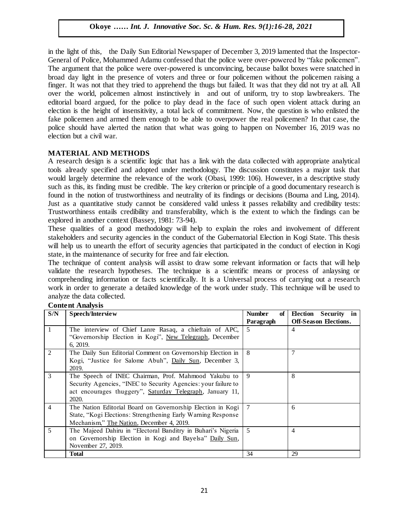in the light of this, the Daily Sun Editorial Newspaper of December 3, 2019 lamented that the Inspector-General of Police, Mohammed Adamu confessed that the police were over-powered by "fake policemen". The argument that the police were over-powered is unconvincing, because ballot boxes were snatched in broad day light in the presence of voters and three or four policemen without the policemen raising a finger. It was not that they tried to apprehend the thugs but failed. It was that they did not try at all. All over the world, policemen almost instinctively in and out of uniform, try to stop lawbreakers. The editorial board argued, for the police to play dead in the face of such open violent attack during an election is the height of insensitivity, a total lack of commitment. Now, the question is who enlisted the fake policemen and armed them enough to be able to overpower the real policemen? In that case, the police should have alerted the nation that what was going to happen on November 16, 2019 was no election but a civil war.

# **MATERIAL AND METHODS**

A research design is a scientific logic that has a link with the data collected with appropriate analytical tools already specified and adopted under methodology. The discussion constitutes a major task that would largely determine the relevance of the work (Obasi, 1999: 106). However, in a descriptive study such as this, its finding must be credible. The key criterion or principle of a good documentary research is found in the notion of trustworthiness and neutrality of its findings or decisions (Bouma and Ling, 2014). Just as a quantitative study cannot be considered valid unless it passes reliability and credibility tests: Trustworthiness entails credibility and transferability, which is the extent to which the findings can be explored in another context (Bassey, 1981: 73-94).

These qualities of a good methodology will help to explain the roles and involvement of different stakeholders and security agencies in the conduct of the Gubernatorial Election in Kogi State. This thesis will help us to unearth the effort of security agencies that participated in the conduct of election in Kogi state, in the maintenance of security for free and fair election.

The technique of content analysis will assist to draw some relevant information or facts that will help validate the research hypotheses. The technique is a scientific means or process of anlaysing or comprehending information or facts scientifically. It is a Universal process of carrying out a research work in order to generate a detailed knowledge of the work under study. This technique will be used to analyze the data collected.

# **Content Analysis**

| S/N                           | Speech/Interview                                               | <b>Number</b><br>of | Security in<br>Election      |  |
|-------------------------------|----------------------------------------------------------------|---------------------|------------------------------|--|
|                               |                                                                | Paragraph           | <b>Off-Season Elections.</b> |  |
| 1                             | The interview of Chief Lanre Rasaq, a chieftain of APC,        | 5                   | 4                            |  |
|                               | "Governorship Election in Kogi", New Telegraph, December       |                     |                              |  |
|                               | 6, 2019.                                                       |                     |                              |  |
| $\mathfrak{D}_{\mathfrak{p}}$ | The Daily Sun Editorial Comment on Governorship Election in    | 8                   | 7                            |  |
|                               | Kogi, "Justice for Salome Abuh", Daily Sun, December 3,        |                     |                              |  |
|                               | 2019.                                                          |                     |                              |  |
| 3                             | The Speech of INEC Chairman, Prof. Mahmood Yakubu to           | 9                   | 8                            |  |
|                               | Security Agencies, "INEC to Security Agencies: your failure to |                     |                              |  |
|                               | act encourages thuggery", Saturday Telegraph, January 11,      |                     |                              |  |
|                               | 2020.                                                          |                     |                              |  |
| 4                             | The Nation Editorial Board on Governorship Election in Kogi    | 7                   | 6                            |  |
|                               | State, "Kogi Elections: Strengthening Early Warning Response   |                     |                              |  |
|                               | Mechanism," The Nation, December 4, 2019.                      |                     |                              |  |
| 5.                            | The Majeed Dahiru in "Electoral Banditry in Buhari's Nigeria   | 5                   | 4                            |  |
|                               | on Governorship Election in Kogi and Bayelsa" Daily Sun,       |                     |                              |  |
|                               | November 27, 2019.                                             |                     |                              |  |
|                               | <b>Total</b>                                                   | 34                  | 29                           |  |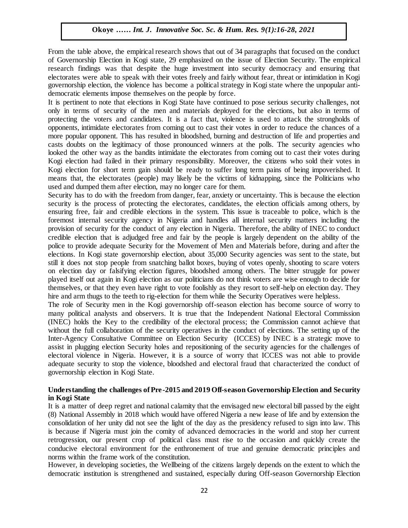From the table above, the empirical research shows that out of 34 paragraphs that focused on the conduct of Governorship Election in Kogi state, 29 emphasized on the issue of Election Security. The empirical or Governorship Election in Kogi state, 29 emphasized on the issue of Election Security. The empirical research findings was that despite the huge investment into security democracy and ensuring that electorates were able to speak with their votes freely and fairly without fear, threat or intimidation in Kogi governorship election, the violence has become a political strategy in Kogi state where the unpopular antidemocratic elements impose themselves on the people by force.

democratic elements impose themselves on the people by force.<br>It is pertinent to note that elections in Kogi State have continued to pose serious security challenges, not only in terms of security of the men and materials deployed for the elections, but also in terms of protecting the voters and candidates. It is a fact that, violence is used to attack the strongholds of opponents, intimidate electorates from coming out to cast their votes in order to reduce the chances of a opponents, infinitiate exectorates from coming out to east their votes in order to reduce the enances or a<br>more popular opponent. This has resulted in bloodshed, burning and destruction of life and properties and casts doubts on the legitimacy of those pronounced winners at the polls. The security agencies who looked the other way as the bandits intimidate the electorates from coming out to cast their votes during Kogi election had failed in their primary responsibility. Moreover, the citizens who sold their votes in Kogi election had falled in their primary responsionly. Moreover, the election who sold their votes in<br>Kogi election for short term gain should be ready to suffer long term pains of being impoverished. It means that, the electorates (people) may likely be the victims of kidnapping, since the Politicians who used and dumped them after election, may no longer care for them.

Security has to do with the freedom from danger, fear, anxiety or uncertainty. This is because the election security has to do with the ricedom from danger, i.e., anxiety of directionity. This is because the election<br>security is the process of protecting the electorates, candidates, the election officials among others, by ensuring free, fair and credible elections in the system. This issue is traceable to police, which is the foremost internal security agency in Nigeria and handles all internal security matters including the provision of security for the conduct of any election in Nigeria. Therefore, the ability of INEC to conduct exposition of seeding for the conduct of any election in Fugeria. Therefore, the ability of fruce to conduct<br>credible election that is adjudged free and fair by the people is largely dependent on the ability of the police to provide adequate Security for the Movement of Men and Materials before, during and after the elections. In Kogi state governorship election, about 35,000 Security agencies was sent to the state, but still it does not stop people from snatching ballot boxes, buying of votes openly, shooting to scare voters on election day or falsifying election figures, bloodshed among others. The bitter struggle for power played itself out again in Kogi election as our politicians do not think voters are wise enough to decide for themselves, or that they even have right to vote foolishly as they resort to self-help on election day. They hire and arm thugs to the teeth to rig-election for them while the Security Operatives were helpless.

The role of Security men in the Kogi governorship off-season election has become source of worry to many political analysts and observers. It is true that the Independent National Electoral Commission (INEC) holds the Key to the credibility of the electoral process; the Commission cannot achieve that without the full collaboration of the security operatives in the conduct of elections. The setting up of the Inter-Agency Consultative Committee on Election Security (ICCES) by INEC is a strategic move to assist in plugging election Security holes and repositioning of the security agencies for the challenges of electoral violence in Nigeria. However, it is a source of worry that ICCES was not able to provide adequate security to stop the violence, bloodshed and electoral fraud that characterized the conduct of governorship election in Kogi State.

#### **Understanding the challenges of Pre -2015 and 2019 Off-season Governorship Election and Security in Kogi State**

It is a matter of deep regret and national calamity that the envisaged new electoral bill passed by the eight (8) National Assembly in 2018 which would have offered Nigeria a new lease of life and by extension the consolidation of her unity did not see the light of the day as the presidency refused to sign into law. This is because if Nigeria must join the comity of advanced democracies in the world and stop her current retrogression, our present crop of political class must rise to the occasion and quickly create the conducive electoral environment for the enthronement of true and genuine democratic principles and norms within the frame work of the constitution.

However, in developing societies, the Wellbeing of the citizens largely depends on the extent to which the democratic institution is strengthened and sustained, especially during Off-season Governorship Election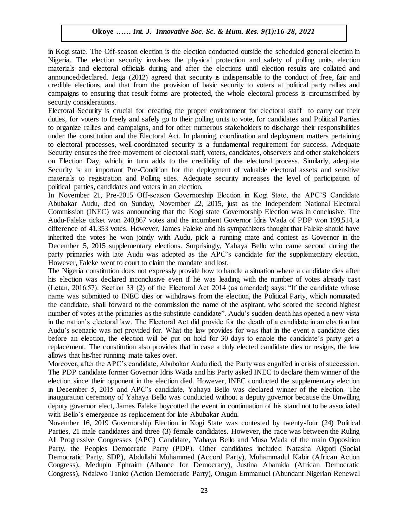in Kogi state. The Off-season election is the election conducted outside the scheduled general election in Nigeria. The election security involves the physical protection and safety of polling units, election materials and electoral officials during and after the elections until election results are collated and materials announced/declared. Jega (2012) agreed that security is indispensable to the conduct of free, fair and credible elections, and that from the provision of basic security to voters at political party rallies and campaigns to ensuring that result forms are protected, the whole electoral process is circumscribed by security considerations.

Electoral Security is crucial for creating the proper environment for electoral staff to carry out their duties, for voters to freely and safely go to their polling units to vote, for candidates and Political Parties to organize rallies and campaigns, and for other numerous stakeholders to discharge their responsibilities under the constitution and the Electoral Act. In planning, coordination and deployment matters pertaining under to electoral processes, well-coordinated security is a fundamental requirement for success. Adequate Security ensures the free movement of electoral staff, voters, candidates, observers and other stakeholders on Election Day, which, in turn adds to the credibility of the electoral process. Similarly, adequate Security is an important Pre-Condition for the deployment of valuable electoral assets and sensitive materials to registration and Polling sites. Adequate security increases the level of participation of political parties, candidates and voters in an election.

In November 21, Pre-2015 Off-season Governorship Election in Kogi State, the APC'S Candidate Abubakar Audu, died on Sunday, November 22, 2015, just as the Independent National Electoral Commission (INEC) was announcing that the Kogi state Governorship Election was in conclusive. The Audu-Faleke ticket won 240,867 votes and the incumbent Governor Idris Wada of PDP won 199,514, a difference of 41,353 votes. However, James Faleke and his sympathizers thought that Faleke should have inherited the votes he won jointly with Audu, pick a running mate and contest as Governor in the December 5, 2015 supplementary elections. Surprisingly, Yahaya Bello who came second during the party primaries with late Audu was adopted as the APC's candidate for the supplementary election. However, Faleke went to court to claim the mandate and lost.

The Nigeria constitution does not expressly provide how to handle a situation where a candidate dies after his election was declared inconclusive even if he was leading with the number of votes already cast (Letan, 2016:57). Section 33 (2) of the Electoral Act 2014 (as amended) says: "If the candidate whose name was submitted to INEC dies or withdraws from the election, the Political Party, which nominated the candidate, shall forward to the commission the name of the aspirant, who scored the second highest number of votes at the primaries as the substitute candidate". Audu's sudden death has opened a new vista in the nation's electoral law. The Electoral Act did provide for the death of a candidate in an election but Audu's scenario was not provided for. What the law provides for was that in the event a candidate dies before an election, the election will be put on hold for 30 days to enable the candidate's party get a replacement. The constitution also provides that in case a duly elected candidate dies or resigns, the law allows that his/her running mate takes over.

Moreover, after the APC's candidate, Abubakar Audu died, the Party was engulfed in crisis of succession. The PDP candidate former Governor Idris Wada and his Party asked INEC to declare them winner of the election since their opponent in the election died. However, INEC conducted the supplementary election in December 5, 2015 and APC's candidate, Yahaya Bello was declared winner of the election. The inauguration ceremony of Yahaya Bello was conducted without a deputy governor because the Unwilling deputy governor elect, James Faleke boycotted the event in continuation of his stand not to be associated with Bello's emergence as replacement for late Abubakar Audu.

November 16, 2019 Governorship Election in Kogi State was contested by twenty-four (24) Political Parties, 21 male candidates and three (3) female candidates. However, the race was between the Ruling All Progressive Congresses (APC) Candidate, Yahaya Bello and Musa Wada of the main Opposition Party, the Peoples Democratic Party (PDP). Other candidates included Natasha Akpoti (Social Democratic Party, SDP), Abdullahi Muhammed (Accord Party), Muhammadul Kabir (African Action Congress), Medupin Ephraim (Alhance for Democracy), Justina Abamida (African Democratic Congress), Ndakwo Tanko (Action Democratic Party), Orugun Emmanuel (Abundant Nigerian Renewal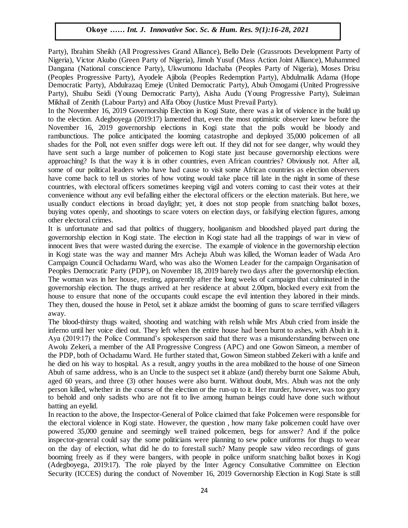Party), Ibrahim Sheikh (All Progressives Grand Alliance), Bello Dele (Grassroots Development Party of Nigeria), Victor Akubo (Green Party of Nigeria), Jimoh Yusuf (Mass Action Joint Alliance), Muhammed Dangana (National conscience Party), Ukwumonu Idachaba (Peoples Party of Nigeria), Moses Drisu (Peoples Progressive Party), Ayodele Ajibola (Peoples Redemption Party), Abdulmalik Adama (Hope Democratic Party), Abdulrazaq Emeje (United Democratic Party), Abuh Omogami (United Progressive Party), Shuibu Seidi (Young Democratic Party), Aisha Audu (Young Progressive Party), Suleiman Mikhail of Zenith (Labour Party) and Alfa Oboy (Justice Must Prevail Party).

In the November 16, 2019 Governorship Election in Kogi State, there was a lot of violence in the build up to the election. Adegboyega (2019:17) lamented that, even the most optimistic observer knew before the November 16, 2019 governorship elections in Kogi state that the polls would be bloody and rambunctious. The police anticipated the looming catastrophe and deployed 35,000 policemen of all rambunctious. shades for the Poll, not even sniffer dogs were left out. If they did not for see danger, why would they have sent such a large number of policemen to Kogi state just because governorship elections were approaching? Is that the way it is in other countries, even African countries? Obviously not. After all, approaching: is that the way it is in other countries, even African countries: Obviously not. After an, some of our political leaders who have had cause to visit some African countries as election observers have come back to tell us stories of how voting would take place till late in the night in some of these countries, with electoral officers sometimes keeping vigil and voters coming to cast their votes at their convenience without any evil befalling either the electoral officers or the election materials. But here, we resolutions while any overleading enter the electron officers of the electron materials. But here, we usually conduct elections in broad daylight; yet, it does not stop people from snatching ballot boxes, buying votes openly, and shootings to scare voters on election days, or falsifying election figures, among other electoral crimes.

It is unfortunate and sad that politics of thuggery, hooliganism and bloodshed played part during the governorship election in Kogi state. The election in Kogi state had all the trappings of war in view of governorship innocent lives that were wasted during the exercise. The example of violence in the governorship election in Kogi state was the way and manner Mrs Acheju Abuh was killed, the Woman leader of Wada Aro Campaign Council Ochadamu Ward, who was also the Women Leader for the campaign Organisation of Eamplagh Council Octadamia Ward, who was also the Women Ecader for the eamplagh Organisation of Peoples Democratic Party (PDP), on November 18, 2019 barely two days after the governorship election. The woman was in her house, resting, apparently after the long weeks of campaign that culminated in the governorship election. The thugs arrived at her residence at about 2.00pm, blocked every exit from the house to ensure that none of the occupants could escape the evil intention they labored in their minds. They then, doused the house in Petol, set it ablaze amidst the booming of guns to scare terrified villagers away.

The blood-thirsty thugs waited, shooting and watching with relish while Mrs Abuh cried from inside the inferno until her voice died out. They left when the entire house had been burnt to ashes, with Abuh in it. Aya (2019:17) the Police Command's spokesperson said that there was a misunderstanding between one Awolu Zekeri, a member of the All Progressive Congress (APC) and one Gowon Simeon, a member of the PDP, both of Ochadamu Ward. He further stated that, Gowon Simeon stabbed Zekeri with a knife and he died on his way to hospital. As a result, angry youths in the area mobilized to the house of one Simeon Abuh of same address, who is an Uncle to the suspect set it ablaze (and) thereby burnt one Salome Abuh, aged 60 years, and three (3) other houses were also burnt. Without doubt, Mrs. Abuh was not the only person killed, whether in the course of the election or the run-up to it. Her murder, however, was too gory to behold and only sadists who are not fit to live among human beings could have done such without batting an eyelid.

In reaction to the above, the Inspector-General of Police claimed that fake Policemen were responsible for the electoral violence in Kogi state. However, the question , how many fake policemen could have over powered 35,000 genuine and seemingly well trained policemen, begs for answer? And if the police inspector-general could say the some politicians were planning to sew police uniforms for thugs to wear on the day of election, what did he do to forestall such? Many people saw video recordings of guns booming freely as if they were bangers, with people in police uniform snatching ballot boxes in Kogi (Adegboyega, 2019:17). The role played by the Inter Agency Consultative Committee on Election Security (ICCES) during the conduct of November 16, 2019 Governorship Election in Kogi State is still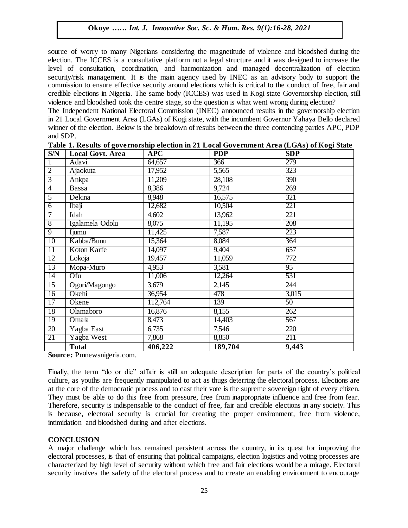source of worry to many Nigerians considering the magnetitude of violence and bloodshed during the election. The ICCES is a consultative platform not a legal structure and it was designed to increase the level of consultation, coordination, and harmonization and managed decentralization of election security/risk management. It is the main agency used by INEC as an advisory body to support the commission to ensure effective security around elections which is critical to the conduct of free, fair and credible elections in Nigeria. The same body (ICCES) was used in Kogi state Governorship election, still violence and bloodshed took the centre stage, so the question is what went wrong during election?

The Independent National Electoral Commission (INEC) announced results in the governorship election in 21 Local Government Area (LGAs) of Kogi state, with the incumbent Governor Yahaya Bello declared winner of the election. Below is the breakdown of results between the three contending parties APC, PDP and SDP.

| S/N             | <b>Local Govt. Area</b>               | <b>APC</b> | <b>PDP</b> | <b>SDP</b>      |
|-----------------|---------------------------------------|------------|------------|-----------------|
| $\mathbf{1}$    | Adavi                                 | 64,657     | 366        | 279             |
| $\overline{2}$  | Ajaokuta                              | 17,952     | 5,565      | 323             |
| $\overline{3}$  | Ankpa                                 | 11,209     | 28,108     | 390             |
| $\overline{4}$  | Bassa                                 | 8,386      | 9,724      | 269             |
| $\overline{5}$  | Dekina                                | 8,948      | 16,575     | 321             |
| $\overline{6}$  | Ibaji                                 | 12,682     | 10,504     | 221             |
| 7               | Idah                                  | 4,602      | 13,962     | 221             |
| $\overline{8}$  | Igalamela Odolu                       | 8,075      | 11,195     | 208             |
| $\overline{9}$  | Ijumu                                 | 11,425     | 7,587      | 223             |
| 10              | Kabba/Bunu                            | 15,364     | 8,084      | 364             |
| 11              | Koton Karfe                           | 14,097     | 9,404      | 657             |
| 12              | Lokoja                                | 19,457     | 11,059     | 772             |
| $\overline{13}$ | Mopa-Muro                             | 4,953      | 3,581      | $\overline{95}$ |
| 14              | Ofu                                   | 11,006     | 12,264     | 531             |
| $\overline{15}$ | Ogori/Magongo                         | 3,679      | 2,145      | 244             |
| 16              | Okehi                                 | 36,954     | 478        | 3,015           |
| 17              | Okene                                 | 112,764    | 139        | 50              |
| $\overline{18}$ | Olamaboro                             | 16,876     | 8,155      | 262             |
| 19              | Omala                                 | 8,473      | 14,403     | 567             |
| 20              | Yagba East                            | 6,735      | 7,546      | 220             |
| 21              | Yagba West                            | 7,868      | 8,850      | 211             |
| $\sim$          | <b>Total</b><br>$\cdot$ $\cdot$<br>D. | 406,222    | 189,704    | 9,443           |

| Table 1. Results of governorship election in 21 Local Government Area (LGAs) of Kogi State |  |  |
|--------------------------------------------------------------------------------------------|--|--|
|                                                                                            |  |  |

**Source:** Pmnewsnigeria.com.

Finally, the term "do or die" affair is still an adequate description for parts of the country's political culture, as youths are frequently manipulated to act as thugs deterring the electoral process. Elections are at the core of the democratic process and to cast their vote is the supreme sovereign right of every citizen. They must be able to do this free from pressure, free from inappropriate influence and free from fear. Therefore, security is indispensable to the conduct of free, fair and credible elections in any society. This is because, electoral security is crucial for creating the proper environment, free from violence, intimidation and bloodshed during and after elections.

#### **CONCLUSION**

A major challenge which has remained persistent across the country, in its quest for improving the electoral processes, is that of ensuring that political campaigns, election logistics and voting processes are characterized by high level of security without which free and fair elections would be a mirage. Electoral security involves the safety of the electoral process and to create an enabling environment to encourage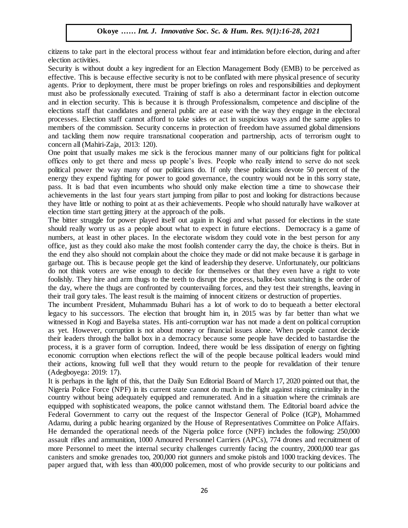citizens to take part in the electoral process without fear and intimidation before election, during and after election activities.

Security is without doubt a key ingredient for an Election Management Body (EMB) to be perceived as effective. This is because effective security is not to be conflated with mere physical presence of security agents. Prior to deployment, there must be proper briefings on roles and responsibilities and deployment must also be professionally executed. Training of staff is also a determinant factor in election outcome and in election security. This is because it is through Professionalism, competence and discipline of the elections staff that candidates and general public are at ease with the way they engage in the electoral processes. Election staff cannot afford to take sides or act in suspicious ways and the same applies to members of the commission. Security concerns in protection of freedom have assumed global dimensions and tackling them now require transnational cooperation and partnership, acts of terrorism ought to concern all (Mahiri-Zaja, 2013: 120).

One point that usually makes me sick is the ferocious manner many of our politicians fight for political offices only to get there and mess up people's lives. People who really intend to serve do not seek political power the way many of our politicians do. If only these politicians devote 50 percent of the  $\frac{1}{2}$ energy they expend fighting for power to good governance, the country would not be in this sorry state, pass. It is bad that even incumbents who should only make election time a time to showcase their achievements in the last four years start jumping from pillar to post and looking for distractions because they have little or nothing to point at as their achievements. People who should naturally have walkover at they have little or nothing to point at as their achievements. People who should naturally have walkover at election time start getting jittery at the approach of the polls.

The bitter struggle for power played itself out again in Kogi and what passed for elections in the state should really worry us as a people about what to expect in future elections. Democracy is a game of numbers, at least in other places. In the electorate wisdom they could vote in the best person for any office, just as they could also make the most foolish contender carry the day, the choice is theirs. But in the end they also should not complain about the choice they made or did not make because it is garbage in garbage out. This is because people get the kind of leadership they deserve. Unfortunately, our politicians do not think voters are wise enough to decide for themselves or that they even have a right to vote foolishly. They hire and arm thugs to the teeth to disrupt the process, ballot-box snatching is the order of the day, where the thugs are confronted by countervailing forces, and they test their strengths, leaving in their trail gory tales. The least result is the maiming of innocent citizens or destruction of properties.

The incumbent President, Muhammadu Buhari has a lot of work to do to bequeath a better electoral legacy to his successors. The election that brought him in, in 2015 was by far better than what we witnessed in Kogi and Bayelsa states. His anti-corruption war has not made a dent on political corruption as yet. However, corruption is not about money or financial issues alone. When people cannot decide their leaders through the ballot box in a democracy because some people have decided to bastardise the process, it is a graver form of corruption. Indeed, there would be less dissipation of energy on fighting economic corruption when elections reflect the will of the people because political leaders would mind their actions, knowing full well that they would return to the people for revalidation of their tenure (Adegboyega: 2019: 17).

It is perhaps in the light of this, that the Daily Sun Editorial Board of March 17, 2020 pointed out that, the Nigeria Police Force (NPF) in its current state cannot do much in the fight against rising criminality in the country without being adequately equipped and remunerated. And in a situation where the criminals are equipped with sophisticated weapons, the police cannot withstand them. The Editorial board advice the Federal Government to carry out the request of the Inspector General of Police (IGP), Mohammed Adamu, during a public hearing organized by the House of Representatives Committee on Police Affairs. He demanded the operational needs of the Nigeria police force (NPF) includes the following: 250,000 assault rifles and ammunition, 1000 Amoured Personnel Carriers (APCs), 774 drones and recruitment of more Personnel to meet the internal security challenges currently facing the country, 2000,000 tear gas canisters and smoke grenades too, 200,000 riot gunners and smoke pistols and 1000 tracking devices. The paper argued that, with less than 400,000 policemen, most of who provide security to our politicians and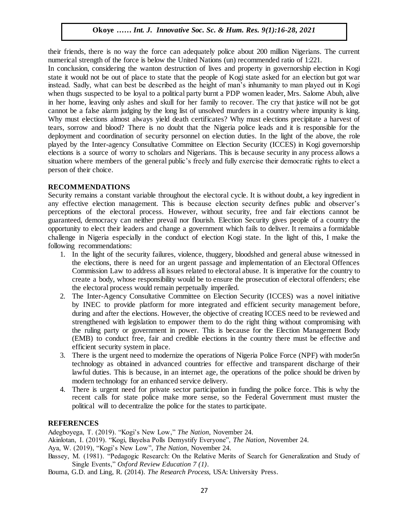their friends, there is no way the force can adequately police about 200 million Nigerians. The current numerical strength of the force is below the United Nations (un) recommended ratio of 1:221.

numerical strength of the force is below the Officent Nations (un) recommended ratio of 1.221.<br>In conclusion, considering the wanton destruction of lives and property in governorship election in Kogi state it would not be out of place to state that the people of Kogi state asked for an election but got war instead. Sadly, what can best be described as the height of man's inhumanity to man played out in Kogi when thugs suspected to be loyal to a political party burnt a PDP women leader, Mrs. Salome Abuh, alive when dugs suspected to be loyal to a political party burnt a 1 DT women leader, twist statione About, anve<br>in her home, leaving only ashes and skull for her family to recover. The cry that justice will not be got cannot be a false alarm judging by the long list of unsolved murders in a country where impunity is king. Why must elections almost always yield death certificates? Why must elections precipitate a harvest of tears, sorrow and blood? There is no doubt that the Nigeria police leads and it is responsible for the deployment and coordination of security personnel on election duties. In the light of the above, the role played by the Inter-agency Consultative Committee on Election Security (ICCES) in Kogi governorship elections is a source of worry to scholars and Nigerians. This is because security in any process allows a situation where members of the general public's freely and fully exercise their democratic rights to elect a norson of their choice. person of their choice.

#### **RECOMMENDATIONS**

Security remains a constant variable throughout the electoral cycle. It is without doubt, a key ingredient in any effective election management. This is because election security defines public and observer's perceptions of the electoral process. However, without security, free and fair elections cannot be guaranteed, democracy can neither prevail nor flourish. Election Security gives people of a country the opportunity to elect their leaders and change a government which fails to deliver. It remains a formidable challenge in Nigeria especially in the conduct of election Kogi state. In the light of this, I make the following recommendations:

- 1. In the light of the security failures, violence, thuggery, bloodshed and general abuse witnessed in the elections, there is need for an urgent passage and implementation of an Electoral Offences Commission Law to address all issues related to electoral abuse. It is imperative for the country to create a body, whose responsibility would be to ensure the prosecution of electoral offenders; else the electoral process would remain perpetually imperiled.
- 2. The Inter-Agency Consultative Committee on Election Security (ICCES) was a novel initiative by INEC to provide platform for more integrated and efficient security management before, during and after the elections. However, the objective of creating ICCES need to be reviewed and strengthened with legislation to empower them to do the right thing without compromising with the ruling party or government in power. This is because for the Election Management Body (EMB) to conduct free, fair and credible elections in the country there must be effective and efficient security system in place.
- 3. There is the urgent need to modernize the operations of Nigeria Police Force (NPF) with moder5n technology as obtained in advanced countries for effective and transparent discharge of their lawful duties. This is because, in an internet age, the operations of the police should be driven by modern technology for an enhanced service delivery.
- 4. There is urgent need for private sector participation in funding the police force. This is why the recent calls for state police make more sense, so the Federal Government must muster the political will to decentralize the police for the states to participate.

#### **REFERENCES**

Adegboyega, T. (2019). "Kogi's New Low," *The Nation*, November 24.

Akinlotan, I. (2019). "Kogi, Bayelsa Polls Demystify Everyone", *The Nation*, November 24.

Aya, W. (2019), "Kogi's New Low", *The Nation*, November 24.

- Bassey, M. (1981). "Pedagogic Research: On the Relative Merits of Search for Generalization and Study of Single Events," *Oxford Review Education 7 (1)*.
- Bouma, G.D. and Ling, R. (2014). *The Research Process,* USA: University Press.